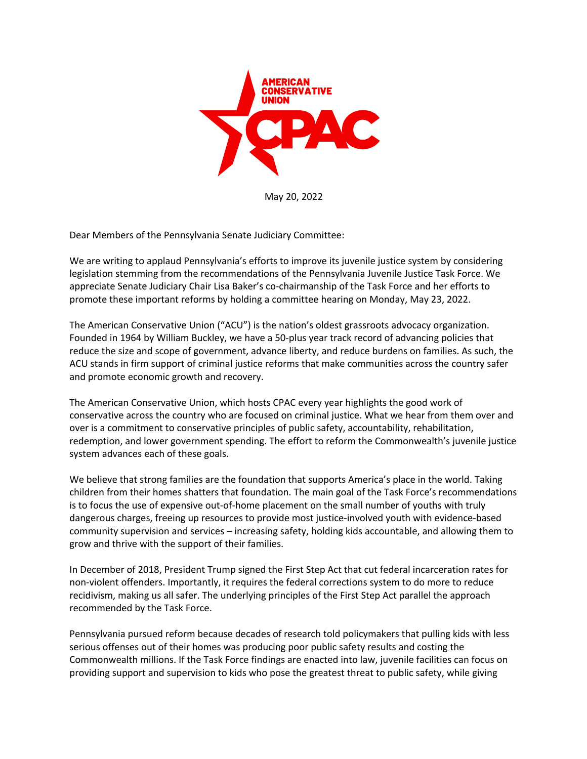

May 20, 2022

Dear Members of the Pennsylvania Senate Judiciary Committee:

We are writing to applaud Pennsylvania's efforts to improve its juvenile justice system by considering legislation stemming from the recommendations of the Pennsylvania Juvenile Justice Task Force. We appreciate Senate Judiciary Chair Lisa Baker's co-chairmanship of the Task Force and her efforts to promote these important reforms by holding a committee hearing on Monday, May 23, 2022.

The American Conservative Union ("ACU") is the nation's oldest grassroots advocacy organization. Founded in 1964 by William Buckley, we have a 50-plus year track record of advancing policies that reduce the size and scope of government, advance liberty, and reduce burdens on families. As such, the ACU stands in firm support of criminal justice reforms that make communities across the country safer and promote economic growth and recovery.

The American Conservative Union, which hosts CPAC every year highlights the good work of conservative across the country who are focused on criminal justice. What we hear from them over and over is a commitment to conservative principles of public safety, accountability, rehabilitation, redemption, and lower government spending. The effort to reform the Commonwealth's juvenile justice system advances each of these goals.

We believe that strong families are the foundation that supports America's place in the world. Taking children from their homes shatters that foundation. The main goal of the Task Force's recommendations is to focus the use of expensive out-of-home placement on the small number of youths with truly dangerous charges, freeing up resources to provide most justice-involved youth with evidence-based community supervision and services – increasing safety, holding kids accountable, and allowing them to grow and thrive with the support of their families.

In December of 2018, President Trump signed the First Step Act that cut federal incarceration rates for non-violent offenders. Importantly, it requires the federal corrections system to do more to reduce recidivism, making us all safer. The underlying principles of the First Step Act parallel the approach recommended by the Task Force.

Pennsylvania pursued reform because decades of research told policymakers that pulling kids with less serious offenses out of their homes was producing poor public safety results and costing the Commonwealth millions. If the Task Force findings are enacted into law, juvenile facilities can focus on providing support and supervision to kids who pose the greatest threat to public safety, while giving